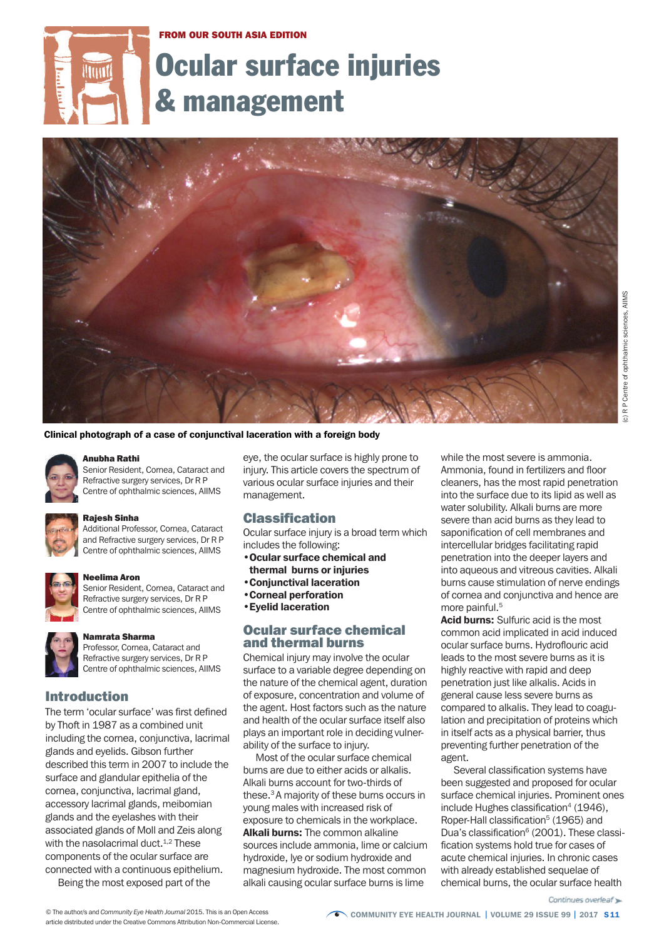#### FROM OUR SOUTH ASIA EDITION

# Ocular surface injuries **Hunt** & management



(c) R P Centre of ophthalmic sciences, AIIMS

R P Centre of ophthalmic sciences, AIIMS

Clinical photograph of a case of conjunctival laceration with a foreign body



## Anubha Rathi

Senior Resident, Cornea, Cataract and Refractive surgery services, Dr R P Centre of ophthalmic sciences, AIIMS



#### Rajesh Sinha

Additional Professor, Cornea, Cataract and Refractive surgery services, Dr R P Centre of ophthalmic sciences, AIIMS



#### Neelima Aron

Senior Resident, Cornea, Cataract and Refractive surgery services, Dr R P Centre of ophthalmic sciences, AIIMS



#### Namrata Sharma

Professor, Cornea, Cataract and Refractive surgery services, Dr R P Centre of ophthalmic sciences, AIIMS

## Introduction

The term 'ocular surface' was first defined by Thoft in 1987 as a combined unit including the cornea, conjunctiva, lacrimal glands and eyelids. Gibson further described this term in 2007 to include the surface and glandular epithelia of the cornea, conjunctiva, lacrimal gland, accessory lacrimal glands, meibomian glands and the eyelashes with their associated glands of Moll and Zeis along with the nasolacrimal duct. 1,2 These components of the ocular surface are connected with a continuous epithelium.

Being the most exposed part of the

eye, the ocular surface is highly prone to injury. This article covers the spectrum of various ocular surface injuries and their management.

## Classification

Ocular surface injury is a broad term which includes the following:

- •Ocular surface chemical and thermal burns or injuries
- •Conjunctival laceration
- •Corneal perforation
- •Eyelid laceration

## Ocular surface chemical and thermal burns

Chemical injury may involve the ocular surface to a variable degree depending on the nature of the chemical agent, duration of exposure, concentration and volume of the agent. Host factors such as the nature and health of the ocular surface itself also plays an important role in deciding vulnerability of the surface to injury.

Most of the ocular surface chemical burns are due to either acids or alkalis. Alkali burns account for two-thirds of these. <sup>3</sup> A majority of these burns occurs in young males with increased risk of exposure to chemicals in the workplace. Alkali burns: The common alkaline sources include ammonia, lime or calcium hydroxide, lye or sodium hydroxide and magnesium hydroxide. The most common alkali causing ocular surface burns is lime

while the most severe is ammonia. Ammonia, found in fertilizers and floor cleaners, has the most rapid penetration into the surface due to its lipid as well as water solubility. Alkali burns are more severe than acid burns as they lead to saponification of cell membranes and intercellular bridges facilitating rapid penetration into the deeper layers and into aqueous and vitreous cavities. Alkali burns cause stimulation of nerve endings of cornea and conjunctiva and hence are more painful. 5

Acid burns: Sulfuric acid is the most common acid implicated in acid induced ocular surface burns. Hydroflouric acid leads to the most severe burns as it is highly reactive with rapid and deep penetration just like alkalis. Acids in general cause less severe burns as compared to alkalis. They lead to coagulation and precipitation of proteins which in itself acts as a physical barrier, thus preventing further penetration of the agent.

Several classification systems have been suggested and proposed for ocular surface chemical injuries. Prominent ones include Hughes classification $4$  (1946), Roper-Hall classification<sup>5</sup> (1965) and Dua's classification<sup>6</sup> (2001). These classification systems hold true for cases of acute chemical injuries. In chronic cases with already established sequelae of chemical burns, the ocular surface health

article distributed under the Creative Commons Attribution Non-Commercial License.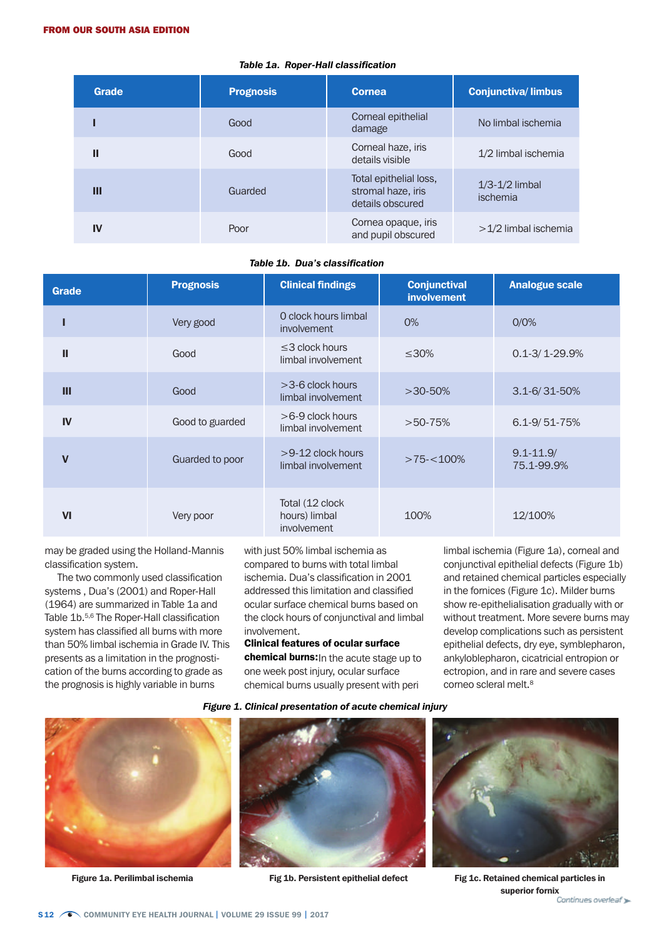| <b>Grade</b> | <b>Prognosis</b> | <b>Cornea</b>                                                    | <b>Conjunctiva/limbus</b>           |
|--------------|------------------|------------------------------------------------------------------|-------------------------------------|
|              | Good             | Corneal epithelial<br>damage                                     | No limbal ischemia                  |
| Ш            | Good             | Corneal haze, iris<br>details visible                            | $1/2$ limbal ischemia               |
| Ш            | Guarded          | Total epithelial loss,<br>stromal haze, iris<br>details obscured | $1/3-1/2$ limbal<br><i>ischemia</i> |
| IV           | Poor             | Cornea opaque, iris<br>and pupil obscured                        | $>1/2$ limbal ischemia              |

#### *Table 1a. Roper-Hall classification*

## *Table 1b. Dua's classification*

| <b>Grade</b> | <b>Prognosis</b> | <b>Clinical findings</b>                         | <b>Conjunctival</b><br><b>involvement</b> | <b>Analogue scale</b>       |
|--------------|------------------|--------------------------------------------------|-------------------------------------------|-----------------------------|
|              | Very good        | O clock hours limbal<br><i>involvement</i>       | 0%                                        | 0/0%                        |
| $\mathbf{H}$ | Good             | $\leq$ 3 clock hours<br>limbal involvement       | $\leq 30\%$                               | $0.1 - 3 / 1 - 29.9%$       |
| Ш            | Good             | $>$ 3-6 clock hours<br>limbal involvement        | $>30-50%$                                 | $3.1 - 6 / 31 - 50%$        |
| IV           | Good to guarded  | $>6-9$ clock hours<br>limbal involvement         | $>50-75%$                                 | $6.1 - 9/51 - 75%$          |
| $\mathbf v$  | Guarded to poor  | $>9-12$ clock hours<br>limbal involvement        | $>75 - 100\%$                             | $9.1 - 11.9/$<br>75.1-99.9% |
| $\mathbf{V}$ | Very poor        | Total (12 clock)<br>hours) limbal<br>involvement | 100%                                      | 12/100%                     |

may be graded using the Holland-Mannis classification system.

The two commonly used classification systems , Dua's (2001) and Roper-Hall (1964) are summarized in Table 1a and Table 1b. 5,6 The Roper-Hall classification system has classified all burns with more than 50% limbal ischemia in Grade IV. This presents as a limitation in the prognostication of the burns according to grade as the prognosis is highly variable in burns

with just 50% limbal ischemia as compared to burns with total limbal ischemia. Dua's classification in 2001 addressed this limitation and classified ocular surface chemical burns based on the clock hours of conjunctival and limbal involvement.

## Clinical features of ocular surface

chemical burns: In the acute stage up to one week post injury, ocular surface chemical burns usually present with peri

*Figure 1. Clinical presentation of acute chemical injury*







limbal ischemia (Figure 1a), corneal and conjunctival epithelial defects (Figure 1b) and retained chemical particles especially in the fornices (Figure 1c). Milder burns show re-epithelialisation gradually with or without treatment. More severe burns may develop complications such as persistent epithelial defects, dry eye, symblepharon, ankyloblepharon, cicatricial entropion or

Figure 1a. Perilimbal ischemia Fig 1b. Persistent epithelial defect Fig 1c. Retained chemical particles in superior fornix<br>Continues overleaf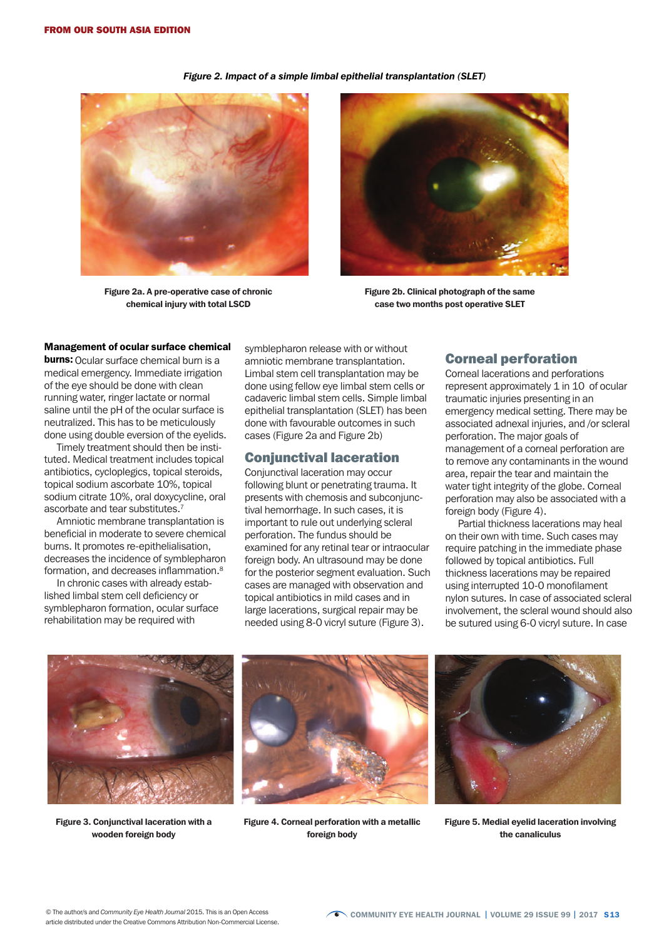Figure 2a. A pre-operative case of chronic chemical injury with total LSCD



Figure 2b. Clinical photograph of the same case two months post operative SLET

#### Management of ocular surface chemical

**burns:** Ocular surface chemical burn is a medical emergency. Immediate irrigation of the eye should be done with clean running water, ringer lactate or normal saline until the pH of the ocular surface is neutralized. This has to be meticulously done using double eversion of the eyelids.

Timely treatment should then be instituted. Medical treatment includes topical antibiotics, cycloplegics, topical steroids, topical sodium ascorbate 10%, topical sodium citrate 10%, oral doxycycline, oral ascorbate and tear substitutes.<sup>7</sup>

Amniotic membrane transplantation is beneficial in moderate to severe chemical burns. It promotes re-epithelialisation, decreases the incidence of symblepharon formation, and decreases inflammation.<sup>8</sup>

In chronic cases with already established limbal stem cell deficiency or symblepharon formation, ocular surface rehabilitation may be required with

symblepharon release with or without amniotic membrane transplantation. Limbal stem cell transplantation may be done using fellow eye limbal stem cells or cadaveric limbal stem cells. Simple limbal epithelial transplantation (SLET) has been done with favourable outcomes in such cases (Figure 2a and Figure 2b)

## Conjunctival laceration

Conjunctival laceration may occur following blunt or penetrating trauma. It presents with chemosis and subconjunctival hemorrhage. In such cases, it is important to rule out underlying scleral perforation. The fundus should be examined for any retinal tear or intraocular foreign body. An ultrasound may be done for the posterior segment evaluation. Such cases are managed with observation and topical antibiotics in mild cases and in large lacerations, surgical repair may be needed using 8-0 vicryl suture (Figure 3).

## Corneal perforation

Corneal lacerations and perforations represent approximately 1 in 10 of ocular traumatic injuries presenting in an emergency medical setting. There may be associated adnexal injuries, and /or scleral perforation. The major goals of management of a corneal perforation are to remove any contaminants in the wound area, repair the tear and maintain the water tight integrity of the globe. Corneal perforation may also be associated with a foreign body (Figure 4).

Partial thickness lacerations may heal on their own with time. Such cases may require patching in the immediate phase followed by topical antibiotics. Full thickness lacerations may be repaired using interrupted 10-0 monofilament nylon sutures. In case of associated scleral involvement, the scleral wound should also be sutured using 6-0 vicryl suture. In case



Figure 3. Conjunctival laceration with a wooden foreign body



Figure 4. Corneal perforation with a metallic foreign body



Figure 5. Medial eyelid laceration involving the canaliculus